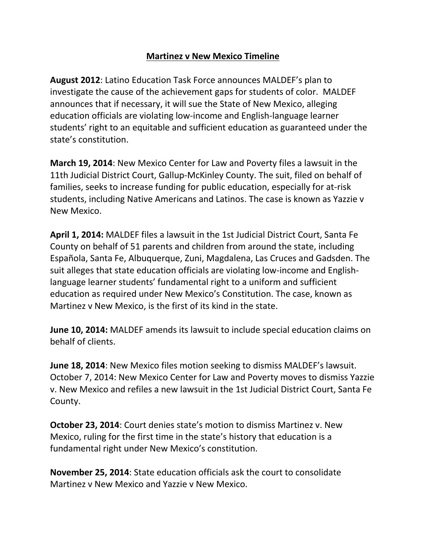## **Martinez v New Mexico Timeline**

**August 2012**: Latino Education Task Force announces MALDEF's plan to investigate the cause of the achievement gaps for students of color. MALDEF announces that if necessary, it will sue the State of New Mexico, alleging education officials are violating low-income and English-language learner students' right to an equitable and sufficient education as guaranteed under the state's constitution.

**March 19, 2014**: New Mexico Center for Law and Poverty files a lawsuit in the 11th Judicial District Court, Gallup-McKinley County. The suit, filed on behalf of families, seeks to increase funding for public education, especially for at-risk students, including Native Americans and Latinos. The case is known as Yazzie v New Mexico.

**April 1, 2014:** MALDEF files a lawsuit in the 1st Judicial District Court, Santa Fe County on behalf of 51 parents and children from around the state, including Española, Santa Fe, Albuquerque, Zuni, Magdalena, Las Cruces and Gadsden. The suit alleges that state education officials are violating low-income and Englishlanguage learner students' fundamental right to a uniform and sufficient education as required under New Mexico's Constitution. The case, known as Martinez v New Mexico, is the first of its kind in the state.

**June 10, 2014:** MALDEF amends its lawsuit to include special education claims on behalf of clients.

**June 18, 2014**: New Mexico files motion seeking to dismiss MALDEF's lawsuit. October 7, 2014: New Mexico Center for Law and Poverty moves to dismiss Yazzie v. New Mexico and refiles a new lawsuit in the 1st Judicial District Court, Santa Fe County.

**October 23, 2014**: Court denies state's motion to dismiss Martinez v. New Mexico, ruling for the first time in the state's history that education is a fundamental right under New Mexico's constitution.

**November 25, 2014**: State education officials ask the court to consolidate Martinez v New Mexico and Yazzie v New Mexico.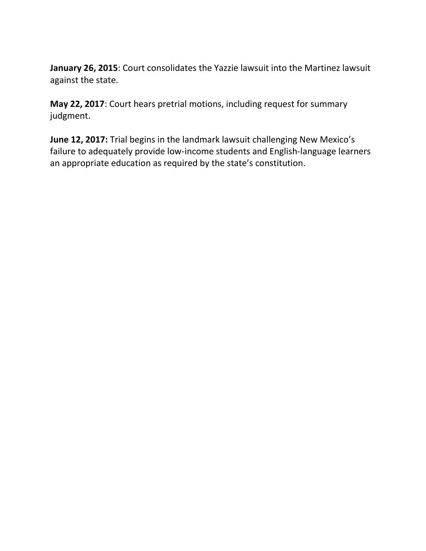**January 26, 2015**: Court consolidates the Yazzie lawsuit into the Martinez lawsuit against the state.

**May 22, 2017**: Court hears pretrial motions, including request for summary judgment.

**June 12, 2017:** Trial begins in the landmark lawsuit challenging New Mexico's failure to adequately provide low-income students and English-language learners an appropriate education as required by the state's constitution.